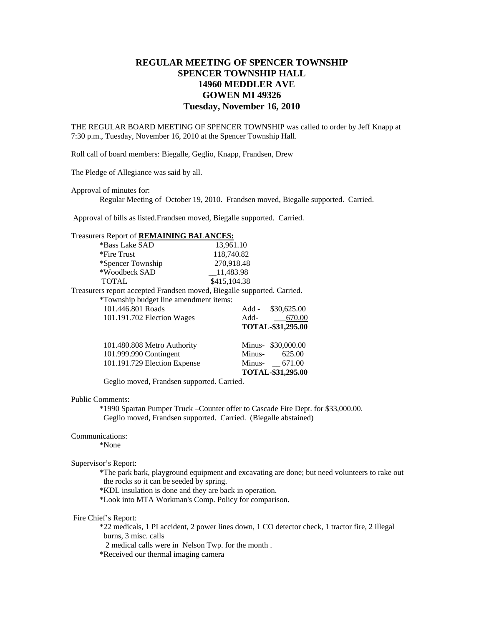# **REGULAR MEETING OF SPENCER TOWNSHIP SPENCER TOWNSHIP HALL 14960 MEDDLER AVE GOWEN MI 49326 Tuesday, November 16, 2010**

THE REGULAR BOARD MEETING OF SPENCER TOWNSHIP was called to order by Jeff Knapp at 7:30 p.m., Tuesday, November 16, 2010 at the Spencer Township Hall.

Roll call of board members: Biegalle, Geglio, Knapp, Frandsen, Drew

The Pledge of Allegiance was said by all.

Approval of minutes for:

Regular Meeting of October 19, 2010. Frandsen moved, Biegalle supported. Carried.

Approval of bills as listed.Frandsen moved, Biegalle supported. Carried.

| Treasurers Report of REMAINING BALANCES: |                   |
|------------------------------------------|-------------------|
| $*D_{\text{max}}$ League $\Omega$ A D    | 12.0 $\epsilon$ 1 |

| *Bass Lake SAD                                                          | 13,961.10    |                    |
|-------------------------------------------------------------------------|--------------|--------------------|
| *Fire Trust                                                             | 118,740.82   |                    |
| *Spencer Township                                                       | 270,918.48   |                    |
| *Woodbeck SAD                                                           | 11,483.98    |                    |
| <b>TOTAL</b>                                                            | \$415,104.38 |                    |
| Treasurers report accepted Frandsen moved, Biegalle supported. Carried. |              |                    |
| *Township budget line amendment items:                                  |              |                    |
| 101.446.801 Roads                                                       | Add -        | \$30,625.00        |
| 101.191.702 Election Wages                                              | $Add$ -      | 670.00             |
|                                                                         |              | TOTAL-\$31,295.00  |
| 101.480.808 Metro Authority                                             |              | Minus- \$30,000.00 |
| 101.999.990 Contingent                                                  | Minus-       | 625.00             |
| 101.191.729 Election Expense                                            | Minus-       | 671.00             |
|                                                                         |              | TOTAL-\$31,295.00  |

Geglio moved, Frandsen supported. Carried.

#### Public Comments:

 \*1990 Spartan Pumper Truck –Counter offer to Cascade Fire Dept. for \$33,000.00. Geglio moved, Frandsen supported. Carried. (Biegalle abstained)

## Communications:

\*None

### Supervisor's Report:

 \*The park bark, playground equipment and excavating are done; but need volunteers to rake out the rocks so it can be seeded by spring.

\*KDL insulation is done and they are back in operation.

\*Look into MTA Workman's Comp. Policy for comparison.

# Fire Chief's Report:

 \*22 medicals, 1 PI accident, 2 power lines down, 1 CO detector check, 1 tractor fire, 2 illegal burns, 3 misc. calls

2 medical calls were in Nelson Twp. for the month .

\*Received our thermal imaging camera